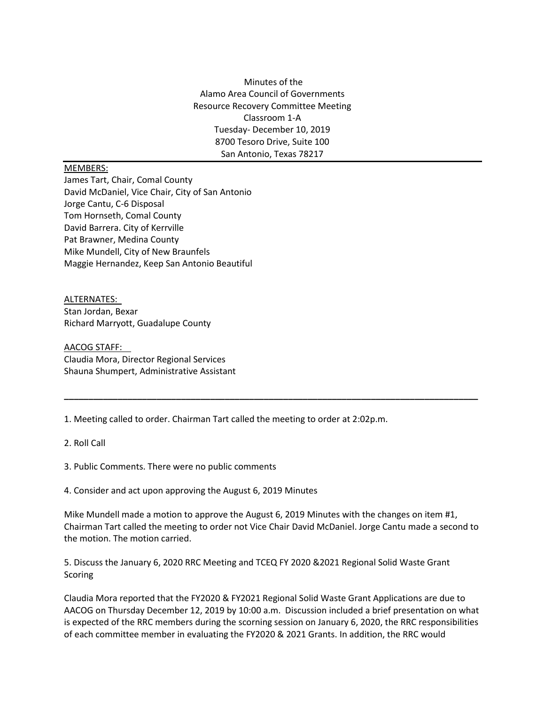Minutes of the Alamo Area Council of Governments Resource Recovery Committee Meeting Classroom 1-A Tuesday- December 10, 2019 8700 Tesoro Drive, Suite 100 San Antonio, Texas 78217

## MEMBERS:

James Tart, Chair, Comal County David McDaniel, Vice Chair, City of San Antonio Jorge Cantu, C-6 Disposal Tom Hornseth, Comal County David Barrera. City of Kerrville Pat Brawner, Medina County Mike Mundell, City of New Braunfels Maggie Hernandez, Keep San Antonio Beautiful

ALTERNATES: Stan Jordan, Bexar Richard Marryott, Guadalupe County

AACOG STAFF: Claudia Mora, Director Regional Services Shauna Shumpert, Administrative Assistant

1. Meeting called to order. Chairman Tart called the meeting to order at 2:02p.m.

2. Roll Call

3. Public Comments. There were no public comments

4. Consider and act upon approving the August 6, 2019 Minutes

Mike Mundell made a motion to approve the August 6, 2019 Minutes with the changes on item #1, Chairman Tart called the meeting to order not Vice Chair David McDaniel. Jorge Cantu made a second to the motion. The motion carried.

**\_\_\_\_\_\_\_\_\_\_\_\_\_\_\_\_\_\_\_\_\_\_\_\_\_\_\_\_\_\_\_\_\_\_\_\_\_\_\_\_\_\_\_\_\_\_\_\_\_\_\_\_\_\_\_\_\_\_\_\_\_\_\_\_\_\_\_\_\_\_\_\_\_\_\_\_\_\_\_\_\_\_\_\_\_**

5. Discuss the January 6, 2020 RRC Meeting and TCEQ FY 2020 &2021 Regional Solid Waste Grant Scoring

Claudia Mora reported that the FY2020 & FY2021 Regional Solid Waste Grant Applications are due to AACOG on Thursday December 12, 2019 by 10:00 a.m. Discussion included a brief presentation on what is expected of the RRC members during the scorning session on January 6, 2020, the RRC responsibilities of each committee member in evaluating the FY2020 & 2021 Grants. In addition, the RRC would